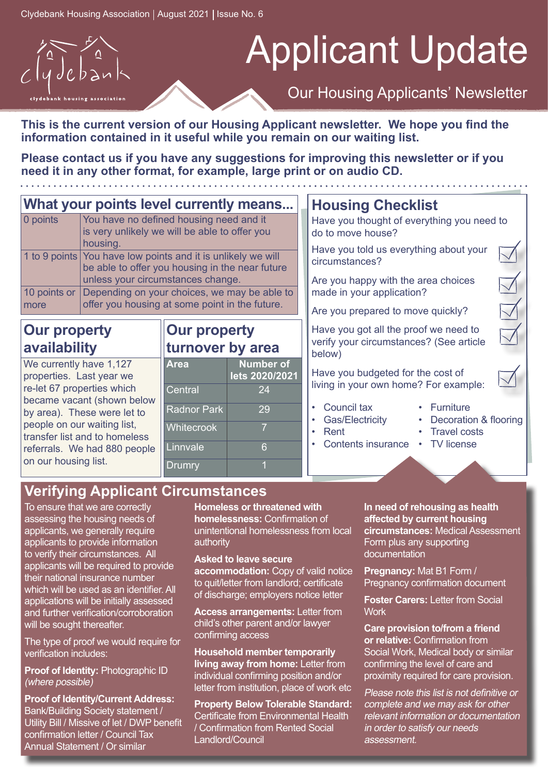

**This is the current version of our Housing Applicant newsletter. We hope you find the information contained in it useful while you remain on our waiting list.**

**Please contact us if you have any suggestions for improving this newsletter or if you need it in any other format, for example, large print or on audio CD.**

#### **What your points level currently means...**<br>**O points** Syou have no defined housing need and it You have no defined housing need and it is very unlikely we will be able to offer you

|      | housing.                                                     |
|------|--------------------------------------------------------------|
|      | 1 to 9 points You have low points and it is unlikely we will |
|      | be able to offer you housing in the near future              |
|      | unless your circumstances change.                            |
|      | 10 points or Depending on your choices, we may be able to    |
| more | offer you housing at some point in the future.               |

#### **Our property availability**

We currently have 1,127 properties. Last year we re-let 67 properties which became vacant (shown below by area). These were let to people on our waiting list, transfer list and to homeless referrals. We had 880 people on our housing list.

#### **Our property turnover by area**

| <b>Area</b>        | <b>Number of</b><br>lets 2020/2021 |
|--------------------|------------------------------------|
| Central            | 24                                 |
| <b>Radnor Park</b> | 29                                 |
| Whitecrook         |                                    |
| Linnvale           | ĥ                                  |
| <b>Drumry</b>      |                                    |

## **Housing Checklist**

Have you thought of everything you need to do to move house?

Have you told us everything about your circumstances?

Are you happy with the area choices made in your application?

Are you prepared to move quickly?

Have you got all the proof we need to verify your circumstances? (See article below)

Have you budgeted for the cost of living in your own home? For example:

• Council tax Gas/Electricity

• Rent

- Decoration & flooring
	- Travel costs
- Contents insurance **TV** license

• Furniture

### **Verifying Applicant Circumstances**

To ensure that we are correctly assessing the housing needs of applicants, we generally require applicants to provide information to verify their circumstances. All applicants will be required to provide their national insurance number which will be used as an identifier. All applications will be initially assessed and further verification/corroboration will be sought thereafter.

The type of proof we would require for verification includes:

**Proof of Identity:** Photographic ID (where possible)

**Proof of Identity/Current Address:** Bank/Building Society statement / Utility Bill / Missive of let / DWP benefit confirmation letter / Council Tax Annual Statement / Or similar

**Homeless or threatened with homelessness:** Confirmation of unintentional homelessness from local authority

#### **Asked to leave secure**

**accommodation:** Copy of valid notice to quit/letter from landlord; certificate of discharge; employers notice letter

**Access arrangements:** Letter from child's other parent and/or lawyer confirming access

**Household member temporarily living away from home:** Letter from individual confirming position and/or letter from institution, place of work etc

**Property Below Tolerable Standard:** Certificate from Environmental Health / Confirmation from Rented Social Landlord/Council

**In need of rehousing as health affected by current housing circumstances:** Medical Assessment Form plus any supporting documentation

**Pregnancy:** Mat B1 Form / Pregnancy confirmation document

**Foster Carers:** Letter from Social **Work** 

**Care provision to/from a friend or relative:** Confirmation from Social Work, Medical body or similar confirming the level of care and proximity required for care provision.

Please note this list is not definitive or complete and we may ask for other relevant information or documentation in order to satisfy our needs assessment.